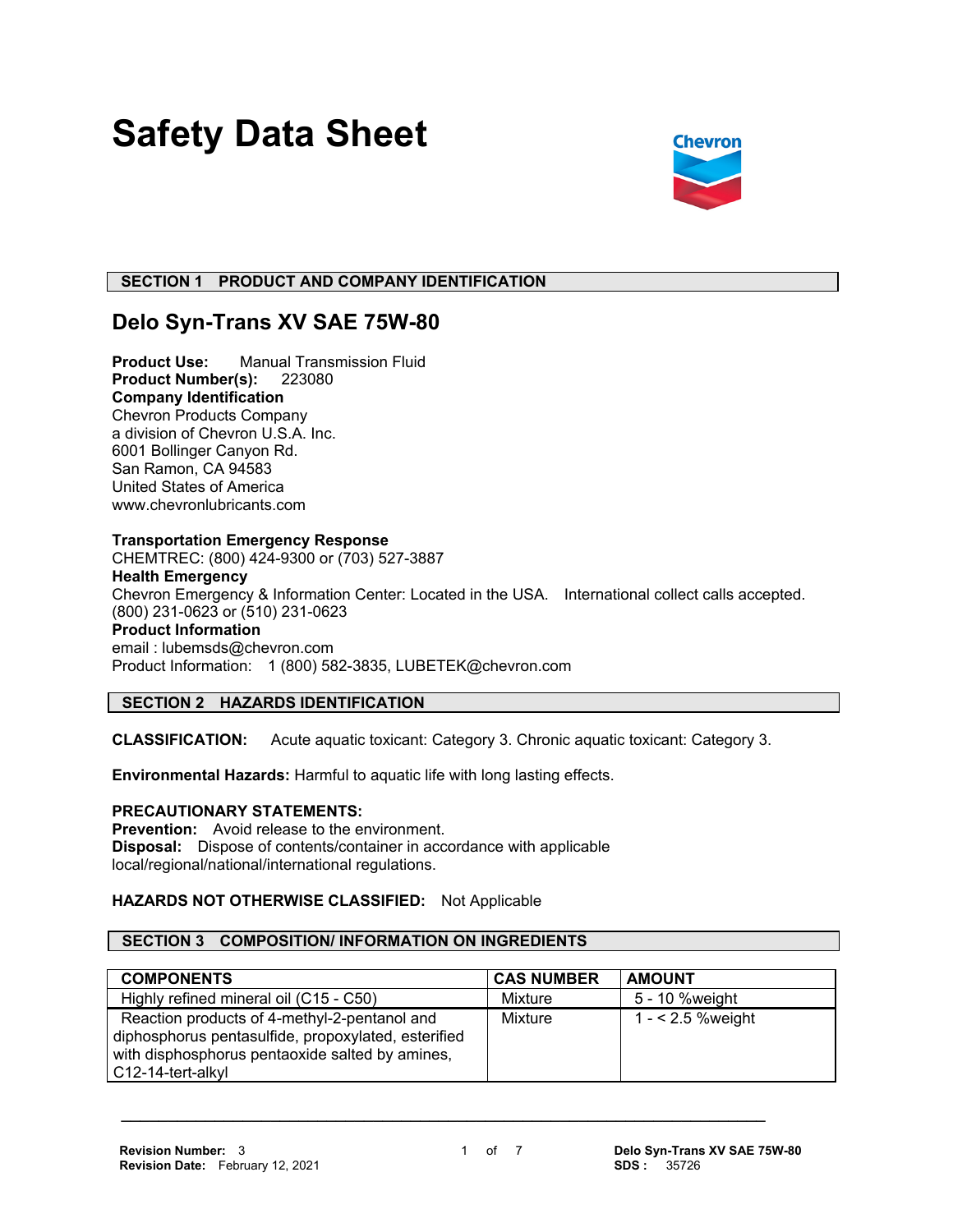# **Safety Data Sheet**



## **SECTION 1 PRODUCT AND COMPANY IDENTIFICATION**

## **Delo Syn-Trans XV SAE 75W-80**

**Product Use:** Manual Transmission Fluid **Product Number(s):** 223080 **Company Identification** Chevron Products Company a division of Chevron U.S.A. Inc. 6001 Bollinger Canyon Rd. San Ramon, CA 94583 United States of America www.chevronlubricants.com

## **Transportation Emergency Response**

CHEMTREC: (800) 424-9300 or (703) 527-3887 **Health Emergency** Chevron Emergency & Information Center: Located in the USA. International collect calls accepted. (800) 231-0623 or (510) 231-0623 **Product Information** email : lubemsds@chevron.com Product Information: 1 (800) 582-3835, LUBETEK@chevron.com

## **SECTION 2 HAZARDS IDENTIFICATION**

**CLASSIFICATION:** Acute aquatic toxicant: Category 3. Chronic aquatic toxicant: Category 3.

**Environmental Hazards:** Harmful to aquatic life with long lasting effects.

## **PRECAUTIONARY STATEMENTS:**

**Prevention:** Avoid release to the environment. **Disposal:** Dispose of contents/container in accordance with applicable local/regional/national/international regulations.

## **HAZARDS NOT OTHERWISE CLASSIFIED:** Not Applicable

## **SECTION 3 COMPOSITION/ INFORMATION ON INGREDIENTS**

| <b>COMPONENTS</b>                                                                                                                                                           | <b>CAS NUMBER</b> | <b>AMOUNT</b>      |
|-----------------------------------------------------------------------------------------------------------------------------------------------------------------------------|-------------------|--------------------|
| Highly refined mineral oil (C15 - C50)                                                                                                                                      | Mixture           | 5 - 10 %weight     |
| Reaction products of 4-methyl-2-pentanol and<br>diphosphorus pentasulfide, propoxylated, esterified<br>with disphosphorus pentaoxide salted by amines,<br>C12-14-tert-alkyl | Mixture           | $1 - 2.5$ % weight |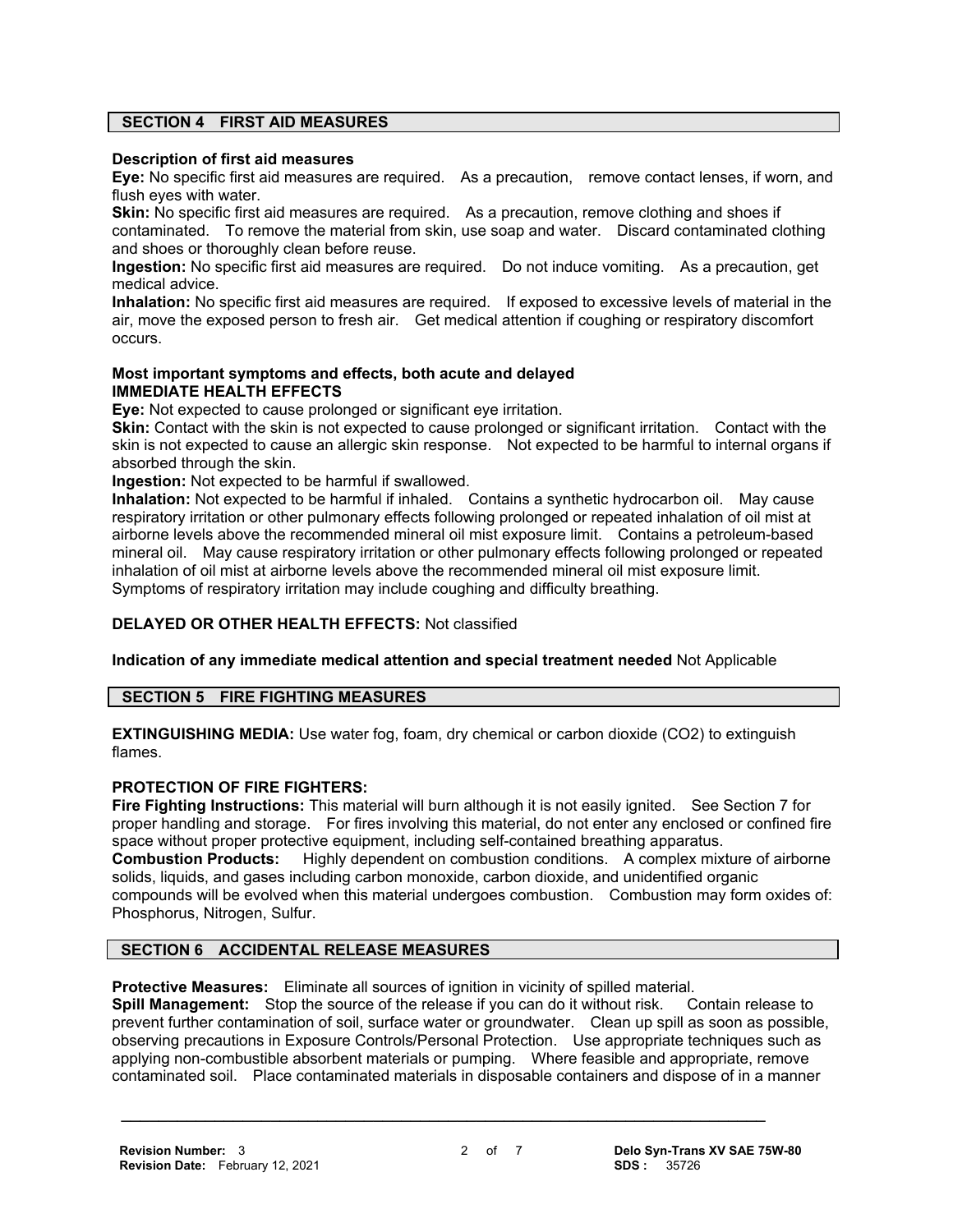## **SECTION 4 FIRST AID MEASURES**

## **Description of first aid measures**

**Eye:** No specific first aid measures are required. As a precaution, remove contact lenses, if worn, and flush eyes with water.

**Skin:** No specific first aid measures are required. As a precaution, remove clothing and shoes if contaminated. To remove the material from skin, use soap and water. Discard contaminated clothing and shoes or thoroughly clean before reuse.

**Ingestion:** No specific first aid measures are required. Do not induce vomiting. As a precaution, get medical advice.

**Inhalation:** No specific first aid measures are required. If exposed to excessive levels of material in the air, move the exposed person to fresh air. Get medical attention if coughing or respiratory discomfort occurs.

## **Most important symptoms and effects, both acute and delayed IMMEDIATE HEALTH EFFECTS**

**Eye:** Not expected to cause prolonged or significant eye irritation.

**Skin:** Contact with the skin is not expected to cause prolonged or significant irritation. Contact with the skin is not expected to cause an allergic skin response. Not expected to be harmful to internal organs if absorbed through the skin.

**Ingestion:** Not expected to be harmful if swallowed.

**Inhalation:** Not expected to be harmful if inhaled. Contains a synthetic hydrocarbon oil. May cause respiratory irritation or other pulmonary effects following prolonged or repeated inhalation of oil mist at airborne levels above the recommended mineral oil mist exposure limit. Contains a petroleum-based mineral oil. May cause respiratory irritation or other pulmonary effects following prolonged or repeated inhalation of oil mist at airborne levels above the recommended mineral oil mist exposure limit. Symptoms of respiratory irritation may include coughing and difficulty breathing.

## **DELAYED OR OTHER HEALTH EFFECTS:** Not classified

**Indication of any immediate medical attention and special treatment needed** Not Applicable

## **SECTION 5 FIRE FIGHTING MEASURES**

**EXTINGUISHING MEDIA:** Use water fog, foam, dry chemical or carbon dioxide (CO2) to extinguish flames.

## **PROTECTION OF FIRE FIGHTERS:**

**Fire Fighting Instructions:** This material will burn although it is not easily ignited. See Section 7 for proper handling and storage. For fires involving this material, do not enter any enclosed or confined fire space without proper protective equipment, including self-contained breathing apparatus. **Combustion Products:** Highly dependent on combustion conditions. A complex mixture of airborne solids, liquids, and gases including carbon monoxide, carbon dioxide, and unidentified organic compounds will be evolved when this material undergoes combustion. Combustion may form oxides of: Phosphorus, Nitrogen, Sulfur.

## **SECTION 6 ACCIDENTAL RELEASE MEASURES**

**Protective Measures:** Eliminate all sources of ignition in vicinity of spilled material.

**Spill Management:** Stop the source of the release if you can do it without risk. Contain release to prevent further contamination of soil, surface water or groundwater. Clean up spill as soon as possible, observing precautions in Exposure Controls/Personal Protection. Use appropriate techniques such as applying non-combustible absorbent materials or pumping. Where feasible and appropriate, remove contaminated soil. Place contaminated materials in disposable containers and dispose of in a manner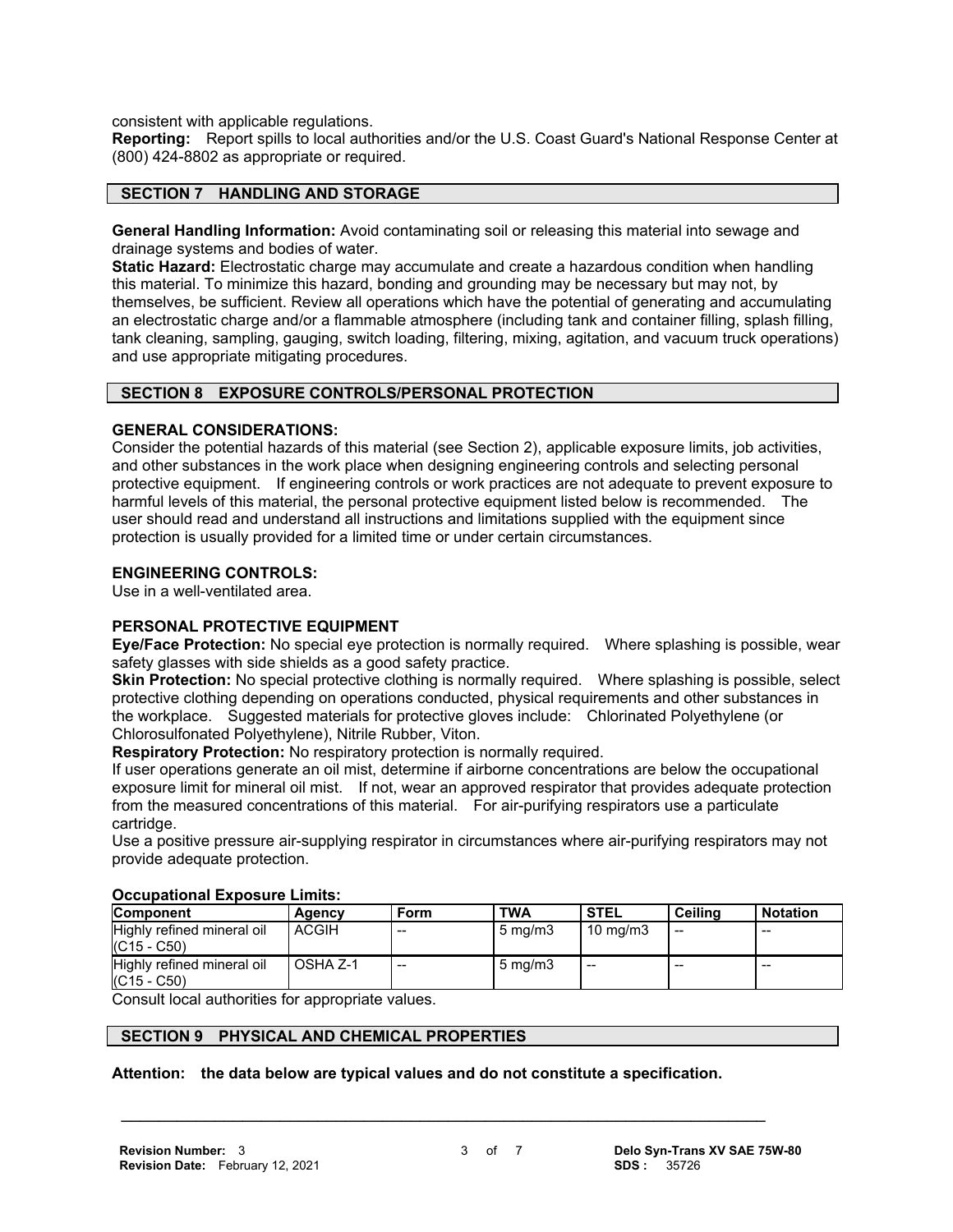consistent with applicable regulations.

**Reporting:** Report spills to local authorities and/or the U.S. Coast Guard's National Response Center at (800) 424-8802 as appropriate or required.

## **SECTION 7 HANDLING AND STORAGE**

**General Handling Information:** Avoid contaminating soil or releasing this material into sewage and drainage systems and bodies of water.

**Static Hazard:** Electrostatic charge may accumulate and create a hazardous condition when handling this material. To minimize this hazard, bonding and grounding may be necessary but may not, by themselves, be sufficient. Review all operations which have the potential of generating and accumulating an electrostatic charge and/or a flammable atmosphere (including tank and container filling, splash filling, tank cleaning, sampling, gauging, switch loading, filtering, mixing, agitation, and vacuum truck operations) and use appropriate mitigating procedures.

## **SECTION 8 EXPOSURE CONTROLS/PERSONAL PROTECTION**

## **GENERAL CONSIDERATIONS:**

Consider the potential hazards of this material (see Section 2), applicable exposure limits, job activities, and other substances in the work place when designing engineering controls and selecting personal protective equipment. If engineering controls or work practices are not adequate to prevent exposure to harmful levels of this material, the personal protective equipment listed below is recommended. The user should read and understand all instructions and limitations supplied with the equipment since protection is usually provided for a limited time or under certain circumstances.

## **ENGINEERING CONTROLS:**

Use in a well-ventilated area.

## **PERSONAL PROTECTIVE EQUIPMENT**

**Eye/Face Protection:** No special eye protection is normally required. Where splashing is possible, wear safety glasses with side shields as a good safety practice.

**Skin Protection:** No special protective clothing is normally required. Where splashing is possible, select protective clothing depending on operations conducted, physical requirements and other substances in the workplace. Suggested materials for protective gloves include: Chlorinated Polyethylene (or Chlorosulfonated Polyethylene), Nitrile Rubber, Viton.

**Respiratory Protection:** No respiratory protection is normally required.

If user operations generate an oil mist, determine if airborne concentrations are below the occupational exposure limit for mineral oil mist. If not, wear an approved respirator that provides adequate protection from the measured concentrations of this material. For air-purifying respirators use a particulate cartridge.

Use a positive pressure air-supplying respirator in circumstances where air-purifying respirators may not provide adequate protection.

| ******************************              |              |       |                  |                   |                          |                 |  |
|---------------------------------------------|--------------|-------|------------------|-------------------|--------------------------|-----------------|--|
| <b>Component</b>                            | Agency       | Form  | <b>TWA</b>       | <b>STEL</b>       | Ceilina                  | <b>Notation</b> |  |
| Highly refined mineral oil<br>$(C15 - C50)$ | <b>ACGIH</b> | $- -$ | $5 \text{ mg/m}$ | $10 \text{ mg/m}$ | $\overline{\phantom{a}}$ | $- -$           |  |
| Highly refined mineral oil<br>$(C15 - C50)$ | OSHA Z-1     | $- -$ | $5 \text{ mg/m}$ | $- -$             | --                       | --              |  |

## **Occupational Exposure Limits:**

Consult local authorities for appropriate values.

## **SECTION 9 PHYSICAL AND CHEMICAL PROPERTIES**

**Attention: the data below are typical values and do not constitute a specification.**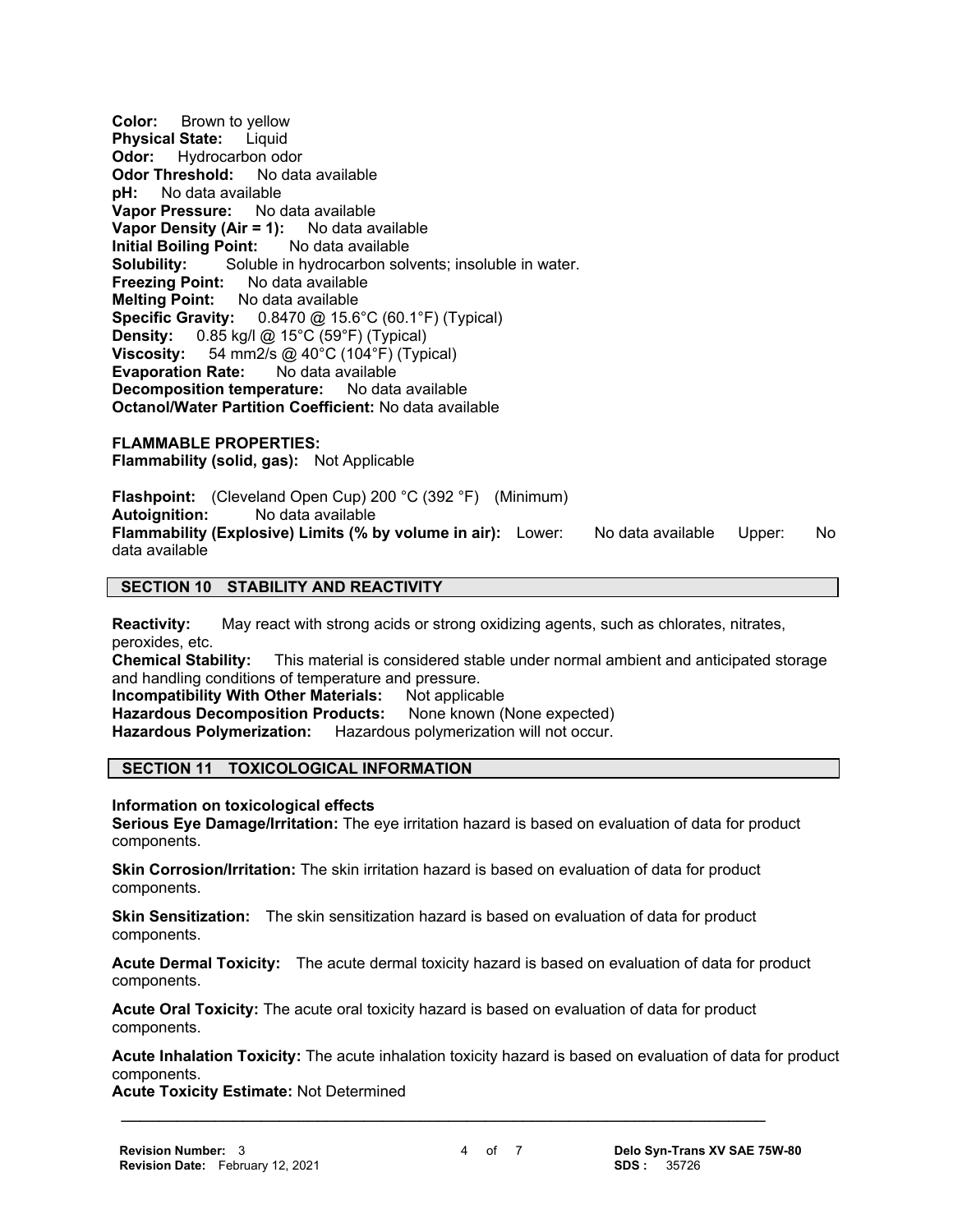**Color:** Brown to yellow **Physical State:** Liquid **Odor:** Hydrocarbon odor **Odor Threshold:** No data available **pH:** No data available **Vapor Pressure:** No data available **Vapor Density (Air = 1):** No data available **Initial Boiling Point:** No data available **Solubility:** Soluble in hydrocarbon solvents; insoluble in water.<br>**Freezing Point:** No data available **Freezing Point: Melting Point:** No data available **Specific Gravity:** 0.8470 @ 15.6°C (60.1°F) (Typical) **Density:** 0.85 kg/l @ 15°C (59°F) (Typical)<br>**Viscosity:** 54 mm2/s @ 40°C (104°F) (Typi **Viscosity:** 54 mm2/s @ 40°C (104°F) (Typical) **Evaporation Rate:** No data available **Decomposition temperature:** No data available **Octanol/Water Partition Coefficient:** No data available

**FLAMMABLE PROPERTIES: Flammability (solid, gas):** Not Applicable

**Flashpoint:** (Cleveland Open Cup) 200 °C (392 °F) (Minimum)<br>**Autoignition:** No data available **Autoignition:** No data available **Flammability (Explosive) Limits (% by volume in air):** Lower: No data available Upper: No data available

## **SECTION 10 STABILITY AND REACTIVITY**

**Reactivity:** May react with strong acids or strong oxidizing agents, such as chlorates, nitrates, peroxides, etc.

**Chemical Stability:** This material is considered stable under normal ambient and anticipated storage and handling conditions of temperature and pressure.

**Incompatibility With Other Materials:** Not applicable

Hazardous Decomposition Products: None known (None expected)

**Hazardous Polymerization:** Hazardous polymerization will not occur.

## **SECTION 11 TOXICOLOGICAL INFORMATION**

**Information on toxicological effects**

**Serious Eye Damage/Irritation:** The eye irritation hazard is based on evaluation of data for product components.

**Skin Corrosion/Irritation:** The skin irritation hazard is based on evaluation of data for product components.

**Skin Sensitization:** The skin sensitization hazard is based on evaluation of data for product components.

**Acute Dermal Toxicity:** The acute dermal toxicity hazard is based on evaluation of data for product components.

**Acute Oral Toxicity:** The acute oral toxicity hazard is based on evaluation of data for product components.

 **\_\_\_\_\_\_\_\_\_\_\_\_\_\_\_\_\_\_\_\_\_\_\_\_\_\_\_\_\_\_\_\_\_\_\_\_\_\_\_\_\_\_\_\_\_\_\_\_\_\_\_\_\_\_\_\_\_\_\_\_\_\_\_\_\_\_\_\_\_**

**Acute Inhalation Toxicity:** The acute inhalation toxicity hazard is based on evaluation of data for product components.

**Acute Toxicity Estimate:** Not Determined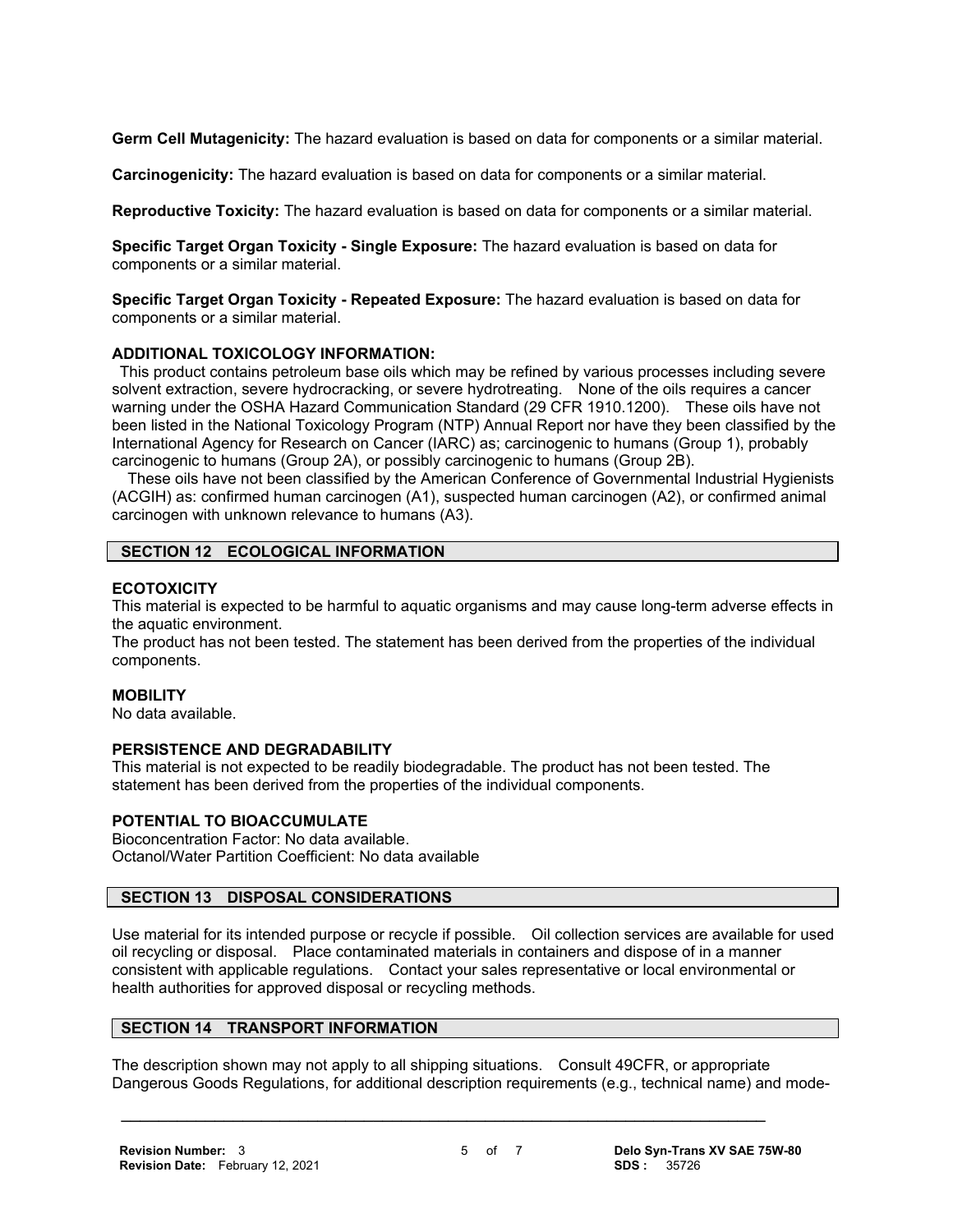**Germ Cell Mutagenicity:** The hazard evaluation is based on data for components or a similar material.

**Carcinogenicity:** The hazard evaluation is based on data for components or a similar material.

**Reproductive Toxicity:** The hazard evaluation is based on data for components or a similar material.

**Specific Target Organ Toxicity - Single Exposure:** The hazard evaluation is based on data for components or a similar material.

**Specific Target Organ Toxicity - Repeated Exposure:** The hazard evaluation is based on data for components or a similar material.

## **ADDITIONAL TOXICOLOGY INFORMATION:**

 This product contains petroleum base oils which may be refined by various processes including severe solvent extraction, severe hydrocracking, or severe hydrotreating. None of the oils requires a cancer warning under the OSHA Hazard Communication Standard (29 CFR 1910.1200). These oils have not been listed in the National Toxicology Program (NTP) Annual Report nor have they been classified by the International Agency for Research on Cancer (IARC) as; carcinogenic to humans (Group 1), probably carcinogenic to humans (Group 2A), or possibly carcinogenic to humans (Group 2B).

 These oils have not been classified by the American Conference of Governmental Industrial Hygienists (ACGIH) as: confirmed human carcinogen (A1), suspected human carcinogen (A2), or confirmed animal carcinogen with unknown relevance to humans (A3).

## **SECTION 12 ECOLOGICAL INFORMATION**

## **ECOTOXICITY**

This material is expected to be harmful to aquatic organisms and may cause long-term adverse effects in the aquatic environment.

The product has not been tested. The statement has been derived from the properties of the individual components.

## **MOBILITY**

No data available.

## **PERSISTENCE AND DEGRADABILITY**

This material is not expected to be readily biodegradable. The product has not been tested. The statement has been derived from the properties of the individual components.

## **POTENTIAL TO BIOACCUMULATE**

Bioconcentration Factor: No data available. Octanol/Water Partition Coefficient: No data available

## **SECTION 13 DISPOSAL CONSIDERATIONS**

Use material for its intended purpose or recycle if possible. Oil collection services are available for used oil recycling or disposal. Place contaminated materials in containers and dispose of in a manner consistent with applicable regulations. Contact your sales representative or local environmental or health authorities for approved disposal or recycling methods.

## **SECTION 14 TRANSPORT INFORMATION**

The description shown may not apply to all shipping situations. Consult 49CFR, or appropriate Dangerous Goods Regulations, for additional description requirements (e.g., technical name) and mode-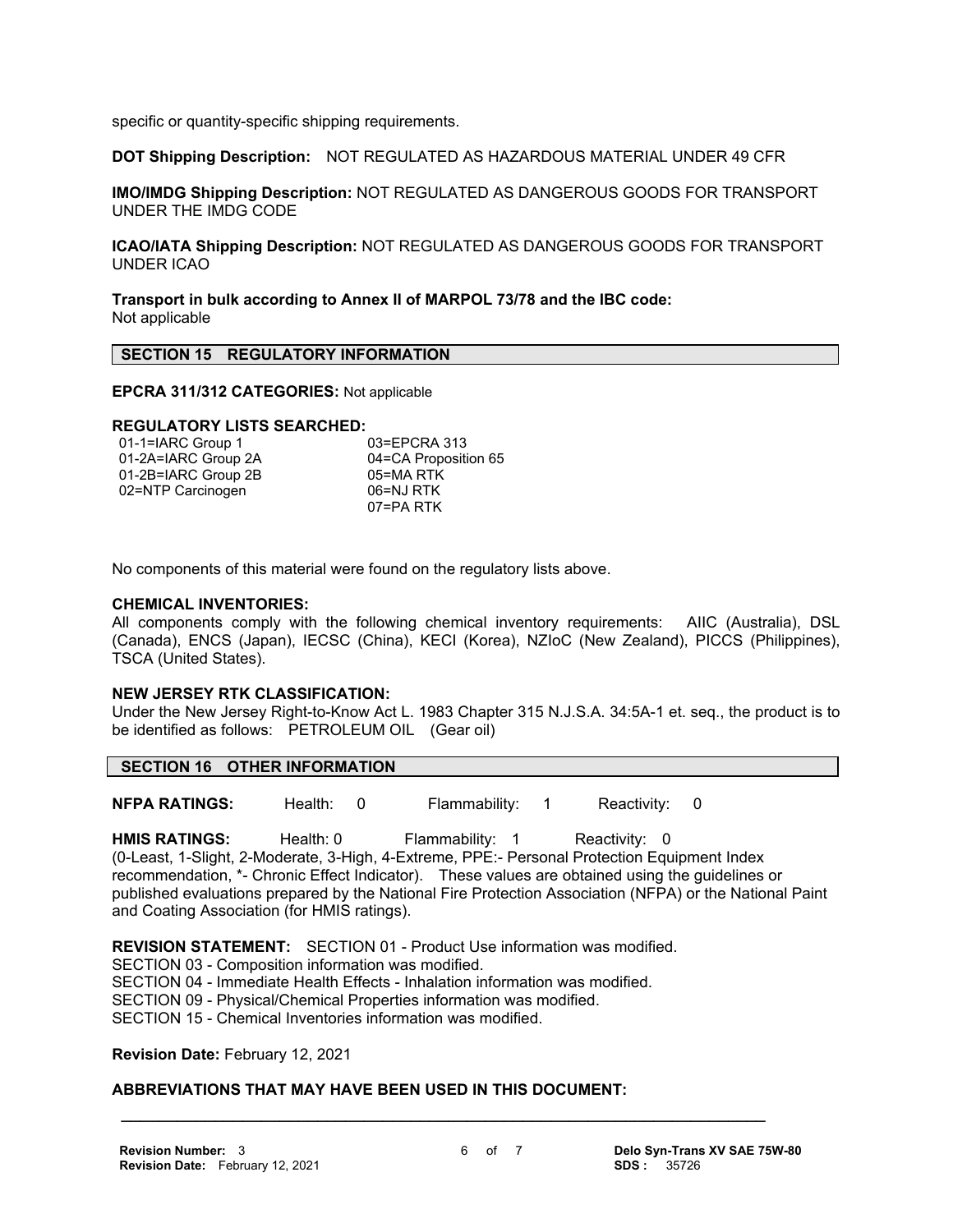specific or quantity-specific shipping requirements.

**DOT Shipping Description:** NOT REGULATED AS HAZARDOUS MATERIAL UNDER 49 CFR

**IMO/IMDG Shipping Description:** NOT REGULATED AS DANGEROUS GOODS FOR TRANSPORT UNDER THE IMDG CODE

**ICAO/IATA Shipping Description:** NOT REGULATED AS DANGEROUS GOODS FOR TRANSPORT UNDER ICAO

**Transport in bulk according to Annex II of MARPOL 73/78 and the IBC code:** Not applicable

## **SECTION 15 REGULATORY INFORMATION**

**EPCRA 311/312 CATEGORIES:** Not applicable

#### **REGULATORY LISTS SEARCHED:**

| 01-1=IARC Group 1   | 03=EPCRA 313         |
|---------------------|----------------------|
| 01-2A=IARC Group 2A | 04=CA Proposition 65 |
| 01-2B=IARC Group 2B | 05=MA RTK            |
| 02=NTP Carcinogen   | 06=NJ RTK            |
|                     | 07=PA RTK            |

No components of this material were found on the regulatory lists above.

#### **CHEMICAL INVENTORIES:**

All components comply with the following chemical inventory requirements: AIIC (Australia), DSL (Canada), ENCS (Japan), IECSC (China), KECI (Korea), NZIoC (New Zealand), PICCS (Philippines), TSCA (United States).

#### **NEW JERSEY RTK CLASSIFICATION:**

Under the New Jersey Right-to-Know Act L. 1983 Chapter 315 N.J.S.A. 34:5A-1 et. seq., the product is to be identified as follows: PETROLEUM OIL (Gear oil)

**NFPA RATINGS:** Health: 0 Flammability: 1 Reactivity: 0

HMIS RATINGS: Health: 0 Flammability: 1 Reactivity: 0 (0-Least, 1-Slight, 2-Moderate, 3-High, 4-Extreme, PPE:- Personal Protection Equipment Index recommendation, \*- Chronic Effect Indicator). These values are obtained using the guidelines or published evaluations prepared by the National Fire Protection Association (NFPA) or the National Paint and Coating Association (for HMIS ratings).

**REVISION STATEMENT:** SECTION 01 - Product Use information was modified. SECTION 03 - Composition information was modified. SECTION 04 - Immediate Health Effects - Inhalation information was modified. SECTION 09 - Physical/Chemical Properties information was modified. SECTION 15 - Chemical Inventories information was modified.

 **\_\_\_\_\_\_\_\_\_\_\_\_\_\_\_\_\_\_\_\_\_\_\_\_\_\_\_\_\_\_\_\_\_\_\_\_\_\_\_\_\_\_\_\_\_\_\_\_\_\_\_\_\_\_\_\_\_\_\_\_\_\_\_\_\_\_\_\_\_**

**Revision Date:** February 12, 2021

## **ABBREVIATIONS THAT MAY HAVE BEEN USED IN THIS DOCUMENT:**